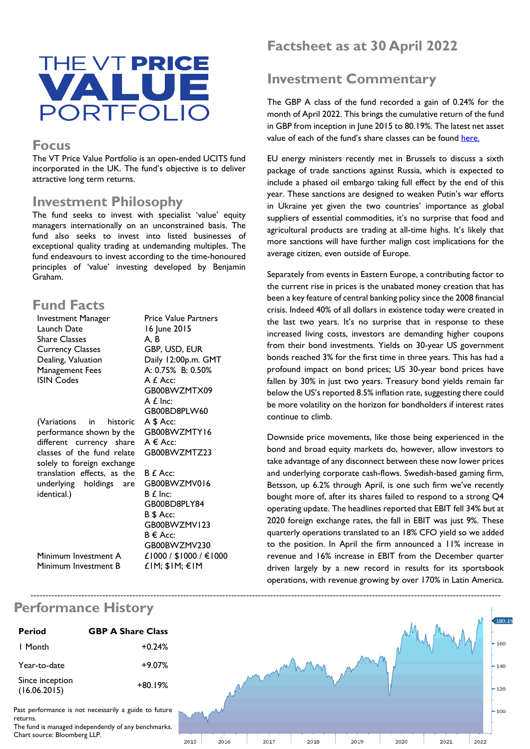

#### **Focus**

The VT Price Value Portfolio is an open-ended UCITS fund incorporated in the UK. The fund's objective is to deliver attractive long term returns.

#### **Investment Philosophy**

The fund seeks to invest with specialist 'value' equity managers internationally on an unconstrained basis. The fund also seeks to invest into listed businesses of exceptional quality trading at undemanding multiples. The fund endeavours to invest according to the time-honoured principles of 'value' investing developed by Benjamin Graham.

## **Fund Facts**

| <b>Investment Manager</b>   | <b>Price Value Partners</b> |
|-----------------------------|-----------------------------|
| Launch Date                 | 16 June 2015                |
| <b>Share Classes</b>        | A. B                        |
| <b>Currency Classes</b>     | GBP, USD, EUR               |
| Dealing, Valuation          | Daily 12:00p.m. GMT         |
| Management Fees             | A: 0.75% B: 0.50%           |
| <b>ISIN Codes</b>           | A £ Acc:                    |
|                             | GB00BWZMTX09                |
|                             | $A f$ Inc:                  |
|                             | GB00BD8PLW60                |
| (Variations in historic     | A \$ Acc:                   |
| performance shown by the    | GB00BWZMTY16                |
| different currency share    | $A \in Acc$ :               |
| classes of the fund relate  | GB00BWZMTZ23                |
| solely to foreign exchange  |                             |
| translation effects, as the | B £ Acc:                    |
| underlying holdings are     | GB00BWZMV016                |
| identical.)                 | $B f$ Inc:                  |
|                             | GB00BD8PLY84                |
|                             | B \$ Acc:                   |
|                             | GB00BWZMV123                |
|                             | B € Acc:                    |
|                             | GB00BWZMV230                |
|                             |                             |

Minimum Investment B

£1000 / \$1000 / €1000

£1M; \$1M; €1M

Minimum Investment A

# **Factsheet as at 30 April 2022**

# **Investment Commentary**

The GBP A class of the fund recorded a gain of 0.24% for the month of April 2022. This brings the cumulative return of the fund in GBP from inception in June 2015 to 80.19%. The latest net asset value of each of the fund's share classes can be found [here.](http://www.valu-trac.com/administration-services/clients/pvp/)

EU energy ministers recently met in Brussels to discuss a sixth package of trade sanctions against Russia, which is expected to include a phased oil embargo taking full effect by the end of this year. These sanctions are designed to weaken Putin's war efforts in Ukraine yet given the two countries' importance as global suppliers of essential commodities, it's no surprise that food and agricultural products are trading at all-time highs. It's likely that more sanctions will have further malign cost implications for the average citizen, even outside of Europe.

Separately from events in Eastern Europe, a contributing factor to the current rise in prices is the unabated money creation that has been a key feature of central banking policy since the 2008 financial crisis. Indeed 40% of all dollars in existence today were created in the last two years. It's no surprise that in response to these increased living costs, investors are demanding higher coupons from their bond investments. Yields on 30-year US government bonds reached 3% for the first time in three years. This has had a profound impact on bond prices; US 30-year bond prices have fallen by 30% in just two years. Treasury bond yields remain far below the US's reported 8.5% inflation rate, suggesting there could be more volatility on the horizon for bondholders if interest rates continue to climb.

Downside price movements, like those being experienced in the bond and broad equity markets do, however, allow investors to take advantage of any disconnect between these now lower prices and underlying corporate cash-flows. Swedish-based gaming firm, Betsson, up 6.2% through April, is one such firm we've recently bought more of, after its shares failed to respond to a strong Q4 operating update. The headlines reported that EBIT fell 34% but at 2020 foreign exchange rates, the fall in EBIT was just 9%. These quarterly operations translated to an 18% CFO yield so we added to the position. In April the firm announced a 11% increase in revenue and 16% increase in EBIT from the December quarter driven largely by a new record in results for its sportsbook operations, with revenue growing by over 170% in Latin America.



#### **Performance History**

| (16.06.2015)                                         | +80.19% |  |
|------------------------------------------------------|---------|--|
| Past performance is not necessarily a guide to futur |         |  |

The fund is managed independently of any benchmarks.